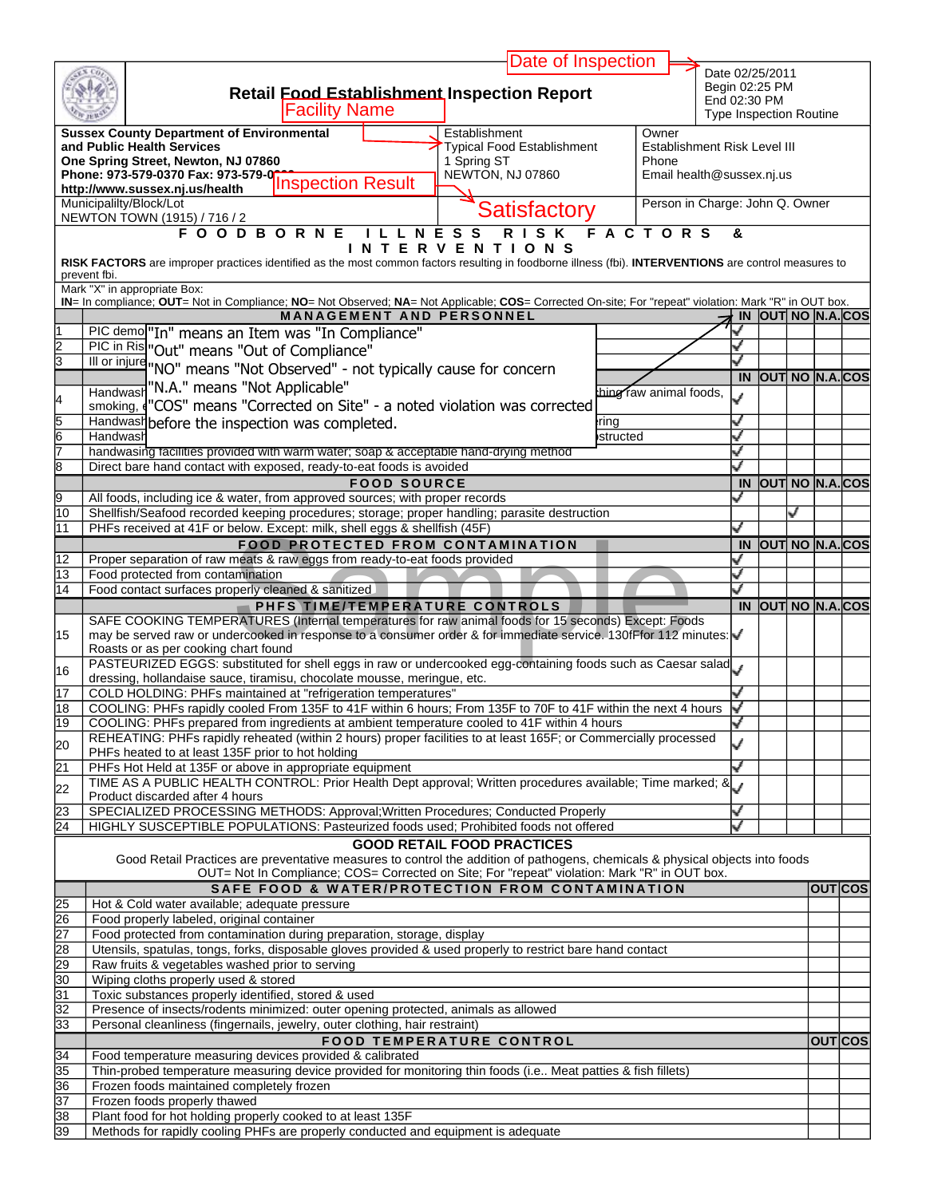|                           |                                                                                                                                                                                                                | Date of Inspection                |                  |                                 |                                                |                           |                |                |
|---------------------------|----------------------------------------------------------------------------------------------------------------------------------------------------------------------------------------------------------------|-----------------------------------|------------------|---------------------------------|------------------------------------------------|---------------------------|----------------|----------------|
|                           | <b>Retail Eood Establishment Inspection Report</b>                                                                                                                                                             |                                   |                  |                                 | Date 02/25/2011<br>Begin 02:25 PM              |                           |                |                |
|                           | <b>Facility Name</b>                                                                                                                                                                                           |                                   |                  |                                 | End 02:30 PM<br><b>Type Inspection Routine</b> |                           |                |                |
|                           | <b>Sussex County Department of Environmental</b>                                                                                                                                                               | Establishment                     |                  | Owner                           |                                                |                           |                |                |
|                           | and Public Health Services                                                                                                                                                                                     | Typical Food Establishment        |                  | Establishment Risk Level III    |                                                |                           |                |                |
|                           | One Spring Street, Newton, NJ 07860                                                                                                                                                                            | 1 Spring ST                       |                  | Phone                           |                                                |                           |                |                |
|                           |                                                                                                                                                                                                                | NEWTON, NJ 07860                  |                  | Email health@sussex.nj.us       |                                                |                           |                |                |
|                           | Municipalilty/Block/Lot                                                                                                                                                                                        |                                   |                  | Person in Charge: John Q. Owner |                                                |                           |                |                |
|                           | NEWTON TOWN (1915) / 716 / 2                                                                                                                                                                                   | <b>Satisfactory</b>               |                  |                                 |                                                |                           |                |                |
|                           | <b>FOODBORNE</b>                                                                                                                                                                                               | <b>RISK</b><br><b>NESS</b>        |                  | <b>FACTORS</b>                  | &                                              |                           |                |                |
|                           | INT                                                                                                                                                                                                            | ERVENTIONS                        |                  |                                 |                                                |                           |                |                |
|                           | RISK FACTORS are improper practices identified as the most common factors resulting in foodborne illness (fbi). INTERVENTIONS are control measures to<br>prevent fbi.                                          |                                   |                  |                                 |                                                |                           |                |                |
|                           | Mark "X" in appropriate Box:                                                                                                                                                                                   |                                   |                  |                                 |                                                |                           |                |                |
|                           | IN= In compliance; OUT= Not in Compliance; NO= Not Observed; NA= Not Applicable; COS= Corrected On-site; For "repeat" violation: Mark "R" in OUT box.<br><b>MANAGEMENT AND PERSONNEL</b>                       |                                   |                  |                                 |                                                | IN OUT NO N.A. COS        |                |                |
|                           | PIC demo <sup>r</sup> In" means an Item was "In Compliance"                                                                                                                                                    |                                   |                  |                                 |                                                |                           |                |                |
| $\overline{2}$            | PIC in Ris "Out" means "Out of Compliance"                                                                                                                                                                     |                                   |                  |                                 |                                                |                           |                |                |
| $\overline{\overline{3}}$ | III or injure "NO" means "Not Observed" - not typically cause for concern                                                                                                                                      |                                   |                  |                                 |                                                |                           |                |                |
|                           |                                                                                                                                                                                                                |                                   |                  |                                 |                                                | <b>IN OUT NO N.A. COS</b> |                |                |
| 4                         | Handwash "N.A." means "Not Applicable"                                                                                                                                                                         |                                   |                  | hing raw animal foods,          | J                                              |                           |                |                |
|                           | smoking, ("COS" means "Corrected on Site" - a noted violation was corrected                                                                                                                                    |                                   |                  |                                 |                                                |                           |                |                |
| $\frac{5}{6}$             | Handwash before the inspection was completed.<br>Handwash                                                                                                                                                      |                                   | rina<br>structed |                                 | ┙                                              |                           |                |                |
| 7                         | handwasing facilities provided with warm water; soap & acceptable hand-drying method                                                                                                                           |                                   |                  |                                 | ں                                              |                           |                |                |
| 8                         | Direct bare hand contact with exposed, ready-to-eat foods is avoided                                                                                                                                           |                                   |                  |                                 |                                                |                           |                |                |
|                           | <b>FOOD SOURCE</b>                                                                                                                                                                                             |                                   |                  |                                 |                                                | IN OUT NO N.A. COS        |                |                |
| 9                         | All foods, including ice & water, from approved sources; with proper records                                                                                                                                   |                                   |                  |                                 |                                                |                           |                |                |
| $\overline{10}$           | Shellfish/Seafood recorded keeping procedures; storage; proper handling; parasite destruction                                                                                                                  |                                   |                  |                                 |                                                | ✓                         |                |                |
| 11                        | PHFs received at 41F or below. Except: milk, shell eggs & shellfish (45F)                                                                                                                                      |                                   |                  |                                 |                                                |                           |                |                |
|                           | <b>FOOD PROTECTED FROM CONTAMINATION</b>                                                                                                                                                                       |                                   |                  |                                 |                                                | IN OUT NO N.A. COS        |                |                |
| $\overline{12}$           | Proper separation of raw meats & raw eggs from ready-to-eat foods provided                                                                                                                                     |                                   |                  |                                 | ر                                              |                           |                |                |
| 13<br>14                  | Food protected from contamination                                                                                                                                                                              |                                   |                  |                                 | ┙                                              |                           |                |                |
|                           |                                                                                                                                                                                                                |                                   |                  |                                 |                                                |                           |                |                |
|                           | Food contact surfaces properly cleaned & sanitized                                                                                                                                                             |                                   |                  |                                 | ┙                                              |                           |                |                |
|                           | PHFS TIME/TEMPERATURE CONTROLS                                                                                                                                                                                 |                                   |                  |                                 | IN                                             | OUT NO N.A. COS           |                |                |
| 15                        | SAFE COOKING TEMPERATURES (Internal temperatures for raw animal foods for 15 seconds) Except: Foods                                                                                                            |                                   |                  |                                 |                                                |                           |                |                |
|                           | may be served raw or undercooked in response to a consumer order & for immediate service. 130fFfor 112 minutes: V<br>Roasts or as per cooking chart found                                                      |                                   |                  |                                 |                                                |                           |                |                |
|                           | PASTEURIZED EGGS: substituted for shell eggs in raw or undercooked egg-containing foods such as Caesar salad                                                                                                   |                                   |                  |                                 |                                                |                           |                |                |
| 16                        | dressing, hollandaise sauce, tiramisu, chocolate mousse, meringue, etc.                                                                                                                                        |                                   |                  |                                 |                                                |                           |                |                |
| 17                        | COLD HOLDING: PHFs maintained at "refrigeration temperatures"                                                                                                                                                  |                                   |                  |                                 |                                                |                           |                |                |
| 18<br>19                  | COOLING: PHFs rapidly cooled From 135F to 41F within 6 hours; From 135F to 70F to 41F within the next 4 hours                                                                                                  |                                   |                  |                                 |                                                |                           |                |                |
|                           | COOLING: PHFs prepared from ingredients at ambient temperature cooled to 41F within 4 hours<br>REHEATING: PHFs rapidly reheated (within 2 hours) proper facilities to at least 165F; or Commercially processed |                                   |                  |                                 |                                                |                           |                |                |
|                           | PHFs heated to at least 135F prior to hot holding                                                                                                                                                              |                                   |                  |                                 | ٧                                              |                           |                |                |
| $\overline{21}$           | PHFs Hot Held at 135F or above in appropriate equipment                                                                                                                                                        |                                   |                  |                                 | ل                                              |                           |                |                |
| 22                        | TIME AS A PUBLIC HEALTH CONTROL: Prior Health Dept approval; Written procedures available; Time marked; &                                                                                                      |                                   |                  |                                 |                                                |                           |                |                |
| 23                        | Product discarded after 4 hours<br>SPECIALIZED PROCESSING METHODS: Approval; Written Procedures; Conducted Properly                                                                                            |                                   |                  |                                 | √                                              |                           |                |                |
| 20<br>24                  | HIGHLY SUSCEPTIBLE POPULATIONS: Pasteurized foods used; Prohibited foods not offered                                                                                                                           |                                   |                  |                                 | ى                                              |                           |                |                |
|                           |                                                                                                                                                                                                                | <b>GOOD RETAIL FOOD PRACTICES</b> |                  |                                 |                                                |                           |                |                |
|                           | Good Retail Practices are preventative measures to control the addition of pathogens, chemicals & physical objects into foods                                                                                  |                                   |                  |                                 |                                                |                           |                |                |
|                           | OUT= Not In Compliance; COS= Corrected on Site; For "repeat" violation: Mark "R" in OUT box.                                                                                                                   |                                   |                  |                                 |                                                |                           |                |                |
|                           | SAFE FOOD & WATER/PROTECTION FROM CONTAMINATION                                                                                                                                                                |                                   |                  |                                 |                                                |                           |                | <b>OUT</b> COS |
| $\overline{25}$           | Hot & Cold water available; adequate pressure                                                                                                                                                                  |                                   |                  |                                 |                                                |                           |                |                |
| 26<br>$\overline{27}$     | Food properly labeled, original container                                                                                                                                                                      |                                   |                  |                                 |                                                |                           |                |                |
| 28                        | Food protected from contamination during preparation, storage, display<br>Utensils, spatulas, tongs, forks, disposable gloves provided & used properly to restrict bare hand contact                           |                                   |                  |                                 |                                                |                           |                |                |
| 29                        | Raw fruits & vegetables washed prior to serving                                                                                                                                                                |                                   |                  |                                 |                                                |                           |                |                |
| $\overline{30}$           | Wiping cloths properly used & stored                                                                                                                                                                           |                                   |                  |                                 |                                                |                           |                |                |
| 31                        | Toxic substances properly identified, stored & used                                                                                                                                                            |                                   |                  |                                 |                                                |                           |                |                |
| 32                        | Presence of insects/rodents minimized: outer opening protected, animals as allowed                                                                                                                             |                                   |                  |                                 |                                                |                           |                |                |
| 33                        | Personal cleanliness (fingernails, jewelry, outer clothing, hair restraint)                                                                                                                                    |                                   |                  |                                 |                                                |                           |                |                |
|                           |                                                                                                                                                                                                                | <b>FOOD TEMPERATURE CONTROL</b>   |                  |                                 |                                                |                           | <b>OUTICOS</b> |                |
| $\overline{34}$           | Food temperature measuring devices provided & calibrated                                                                                                                                                       |                                   |                  |                                 |                                                |                           |                |                |
| 35                        | Thin-probed temperature measuring device provided for monitoring thin foods (i.e Meat patties & fish fillets)<br>Frozen foods maintained completely frozen                                                     |                                   |                  |                                 |                                                |                           |                |                |
| 36<br>37                  | Frozen foods properly thawed                                                                                                                                                                                   |                                   |                  |                                 |                                                |                           |                |                |
| 38<br>39                  | Plant food for hot holding properly cooked to at least 135F<br>Methods for rapidly cooling PHFs are properly conducted and equipment is adequate                                                               |                                   |                  |                                 |                                                |                           |                |                |